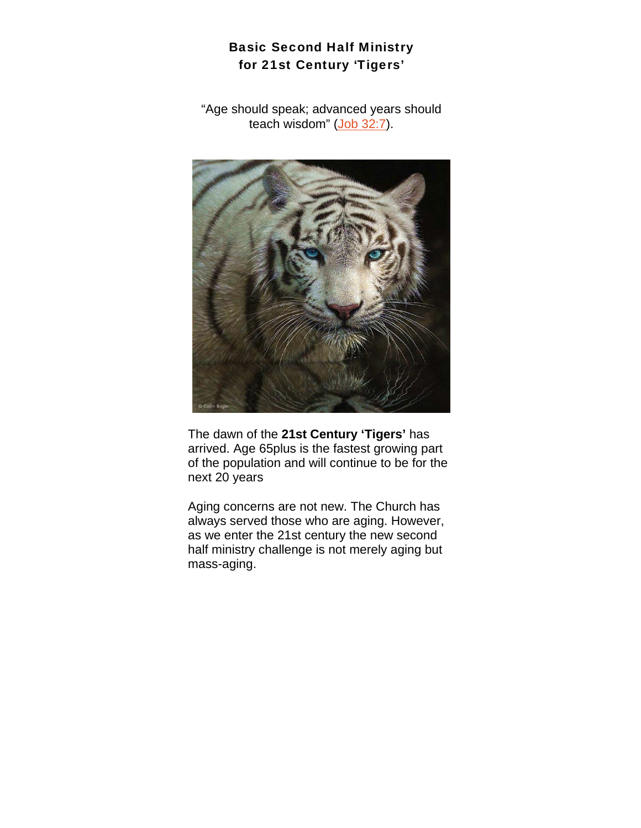# Basic Second Half Ministry for 21st Century 'Tigers'

"Age should speak; advanced years should teach wisdom" (Job 32:7).



The dawn of the **21st Century 'Tigers'** has arrived. Age 65plus is the fastest growing part of the population and will continue to be for the next 20 years

Aging concerns are not new. The Church has always served those who are aging. However, as we enter the 21st century the new second half ministry challenge is not merely aging but mass-aging.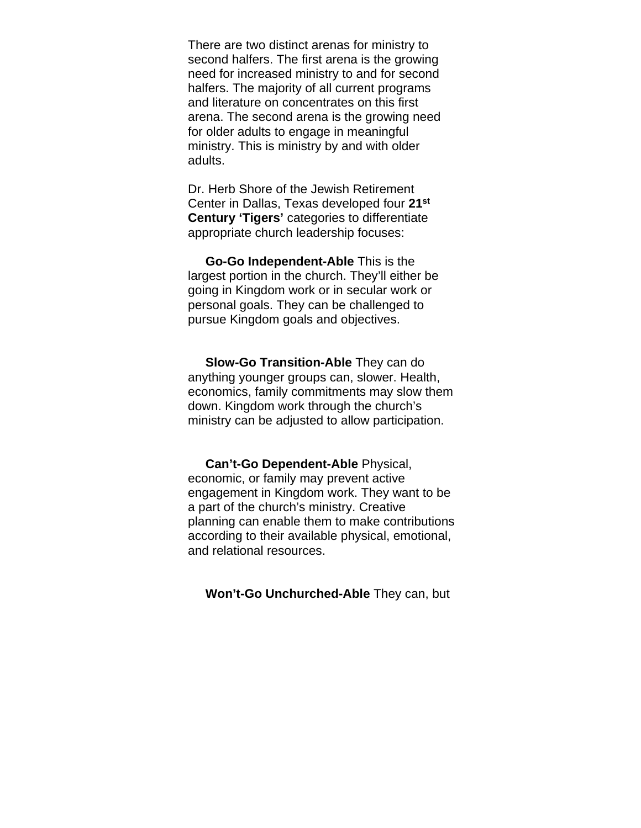There are two distinct arenas for ministry to second halfers. The first arena is the growing need for increased ministry to and for second halfers. The majority of all current programs and literature on concentrates on this first arena. The second arena is the growing need for older adults to engage in meaningful ministry. This is ministry by and with older adults.

Dr. Herb Shore of the Jewish Retirement Center in Dallas, Texas developed four **21st Century 'Tigers'** categories to differentiate appropriate church leadership focuses:

 **Go-Go Independent-Able** This is the largest portion in the church. They'll either be going in Kingdom work or in secular work or personal goals. They can be challenged to pursue Kingdom goals and objectives.

 **Slow-Go Transition-Able** They can do anything younger groups can, slower. Health, economics, family commitments may slow them down. Kingdom work through the church's ministry can be adjusted to allow participation.

 **Can't-Go Dependent-Able** Physical, economic, or family may prevent active engagement in Kingdom work. They want to be a part of the church's ministry. Creative planning can enable them to make contributions according to their available physical, emotional, and relational resources.

 **Won't-Go Unchurched-Able** They can, but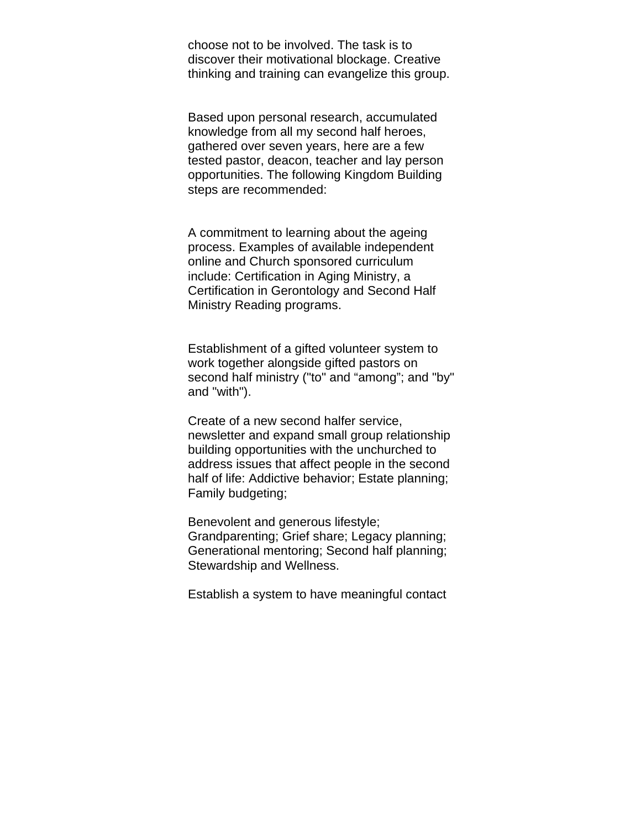choose not to be involved. The task is to discover their motivational blockage. Creative thinking and training can evangelize this group.

Based upon personal research, accumulated knowledge from all my second half heroes, gathered over seven years, here are a few tested pastor, deacon, teacher and lay person opportunities. The following Kingdom Building steps are recommended:

A commitment to learning about the ageing process. Examples of available independent online and Church sponsored curriculum include: Certification in Aging Ministry, a Certification in Gerontology and Second Half Ministry Reading programs.

Establishment of a gifted volunteer system to work together alongside gifted pastors on second half ministry ("to" and "among"; and "by" and "with").

Create of a new second halfer service, newsletter and expand small group relationship building opportunities with the unchurched to address issues that affect people in the second half of life: Addictive behavior; Estate planning; Family budgeting;

Benevolent and generous lifestyle; Grandparenting; Grief share; Legacy planning; Generational mentoring; Second half planning; Stewardship and Wellness.

Establish a system to have meaningful contact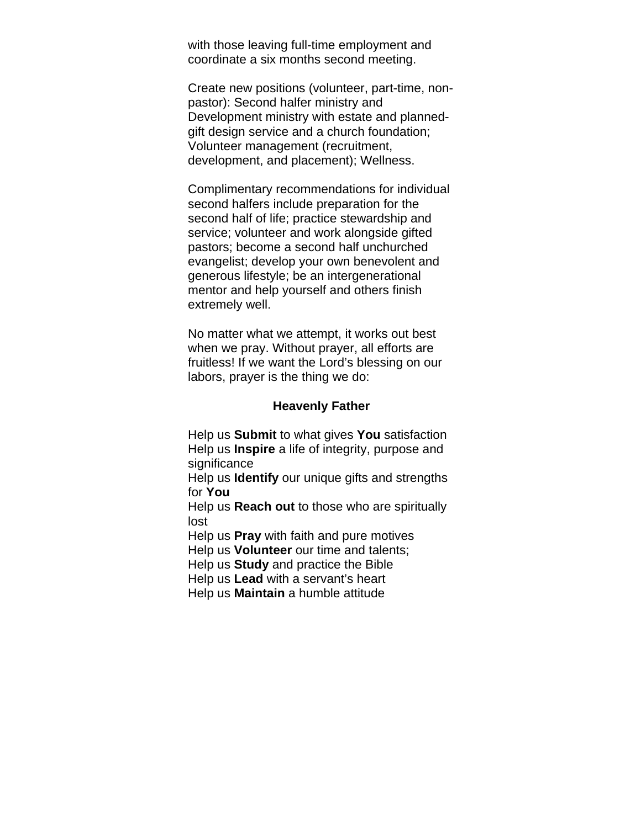with those leaving full-time employment and coordinate a six months second meeting.

Create new positions (volunteer, part-time, nonpastor): Second halfer ministry and Development ministry with estate and plannedgift design service and a church foundation; Volunteer management (recruitment, development, and placement); Wellness.

Complimentary recommendations for individual second halfers include preparation for the second half of life; practice stewardship and service; volunteer and work alongside gifted pastors; become a second half unchurched evangelist; develop your own benevolent and generous lifestyle; be an intergenerational mentor and help yourself and others finish extremely well.

No matter what we attempt, it works out best when we pray. Without prayer, all efforts are fruitless! If we want the Lord's blessing on our labors, prayer is the thing we do:

#### **Heavenly Father**

Help us **Submit** to what gives **You** satisfaction Help us **Inspire** a life of integrity, purpose and significance

Help us **Identify** our unique gifts and strengths for **You**

Help us **Reach out** to those who are spiritually lost

Help us **Pray** with faith and pure motives

Help us **Volunteer** our time and talents;

Help us **Study** and practice the Bible

Help us **Lead** with a servant's heart

Help us **Maintain** a humble attitude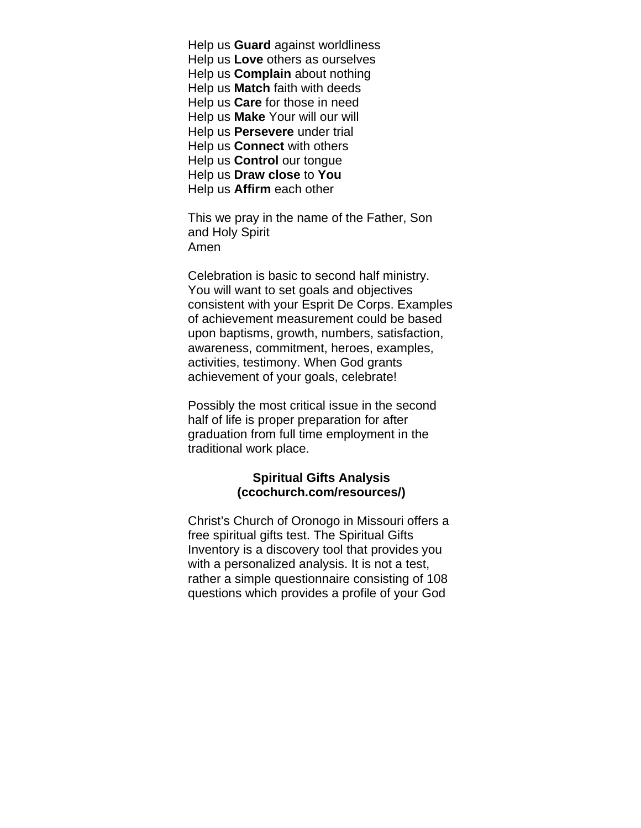Help us **Guard** against worldliness Help us **Love** others as ourselves Help us **Complain** about nothing Help us **Match** faith with deeds Help us **Care** for those in need Help us **Make** Your will our will Help us **Persevere** under trial Help us **Connect** with others Help us **Control** our tongue Help us **Draw close** to **You** Help us **Affirm** each other

This we pray in the name of the Father, Son and Holy Spirit Amen

Celebration is basic to second half ministry. You will want to set goals and objectives consistent with your Esprit De Corps. Examples of achievement measurement could be based upon baptisms, growth, numbers, satisfaction, awareness, commitment, heroes, examples, activities, testimony. When God grants achievement of your goals, celebrate!

Possibly the most critical issue in the second half of life is proper preparation for after graduation from full time employment in the traditional work place.

### **Spiritual Gifts Analysis (ccochurch.com/resources/)**

Christ's Church of Oronogo in Missouri offers a free spiritual gifts test. The Spiritual Gifts Inventory is a discovery tool that provides you with a personalized analysis. It is not a test, rather a simple questionnaire consisting of 108 questions which provides a profile of your God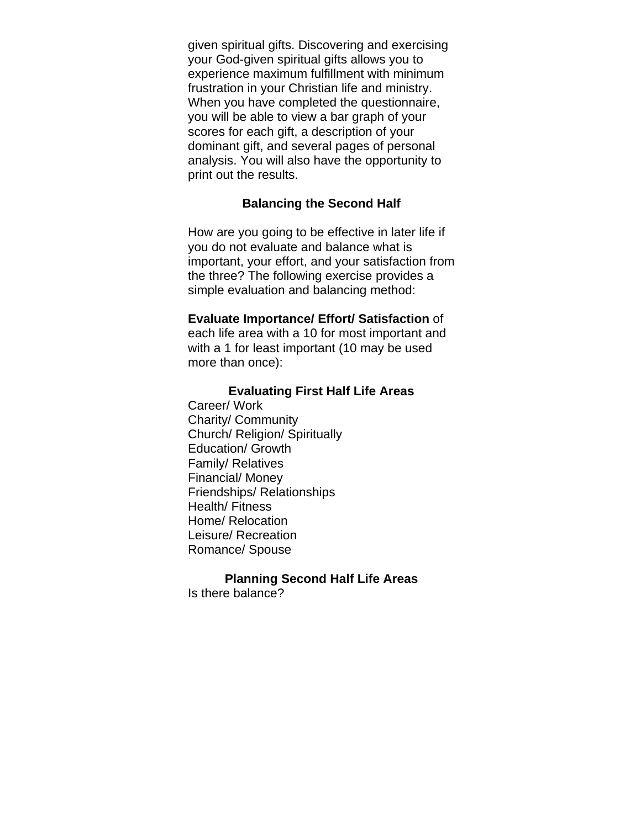given spiritual gifts. Discovering and exercising your God-given spiritual gifts allows you to experience maximum fulfillment with minimum frustration in your Christian life and ministry. When you have completed the questionnaire, you will be able to view a bar graph of your scores for each gift, a description of your dominant gift, and several pages of personal analysis. You will also have the opportunity to print out the results.

### **Balancing the Second Half**

How are you going to be effective in later life if you do not evaluate and balance what is important, your effort, and your satisfaction from the three? The following exercise provides a simple evaluation and balancing method:

### **Evaluate Importance/ Effort/ Satisfaction** of

each life area with a 10 for most important and with a 1 for least important (10 may be used more than once):

### **Evaluating First Half Life Areas**

Career/ Work Charity/ Community Church/ Religion/ Spiritually Education/ Growth Family/ Relatives Financial/ Money Friendships/ Relationships Health/ Fitness Home/ Relocation Leisure/ Recreation Romance/ Spouse

#### **Planning Second Half Life Areas**

Is there balance?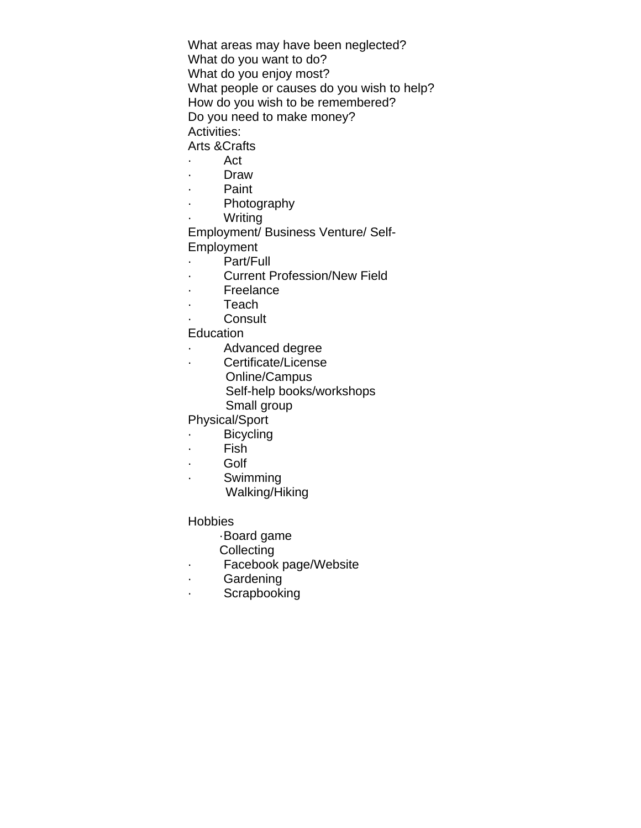What areas may have been neglected? What do you want to do? What do you enjoy most? What people or causes do you wish to help? How do you wish to be remembered? Do you need to make money? Activities:

Arts &Crafts

- · Act
- · Draw
- · Paint
- · Photography
- **Writing**

Employment/ Business Venture/ Self-Employment

- · Part/Full
- · Current Profession/New Field
- · Freelance
- · Teach
- · Consult

Education

- · Advanced degree
- · Certificate/License
	- Online/Campus Self-help books/workshops Small group

Physical/Sport

· Bicycling

- 
- · Fish
- · Golf
- · Swimming Walking/Hiking

**Hobbies** 

- ·Board game
- **Collecting**
- · Facebook page/Website
- · Gardening
- · Scrapbooking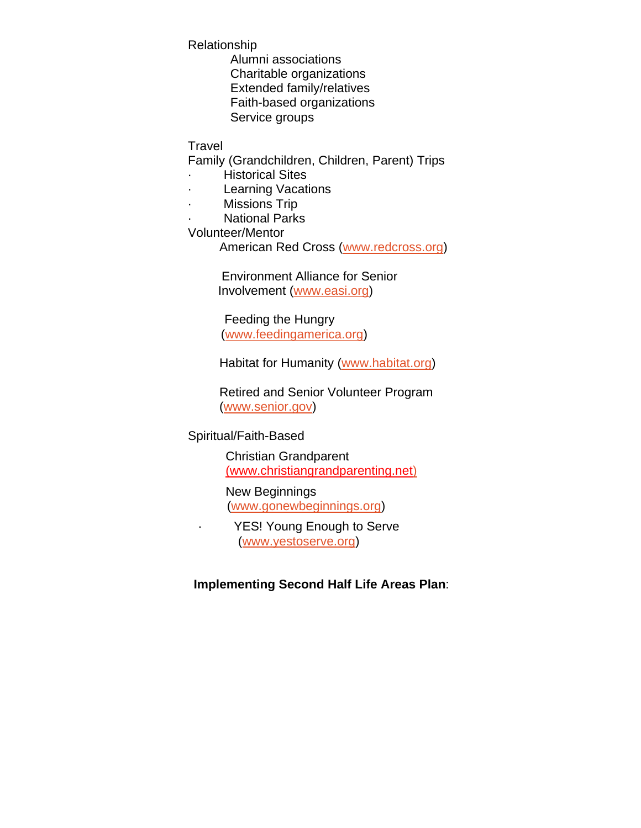Relationship

Alumni associations Charitable organizations Extended family/relatives Faith-based organizations Service groups

Travel

Family (Grandchildren, Children, Parent) Trips

- · Historical Sites
- **Learning Vacations**
- · Missions Trip
- **National Parks**

Volunteer/Mentor

American Red Cross (www.redcross.org)

 Environment Alliance for Senior Involvement (www.easi.org)

 Feeding the Hungry (www.feedingamerica.org)

Habitat for Humanity (www.habitat.org)

Retired and Senior Volunteer Program (www.senior.gov)

Spiritual/Faith-Based

Christian Grandparent (www.christiangrandparenting.net)

## New Beginnings

(www.gonewbeginnings.org)

· YES! Young Enough to Serve (www.yestoserve.org)

**Implementing Second Half Life Areas Plan**: